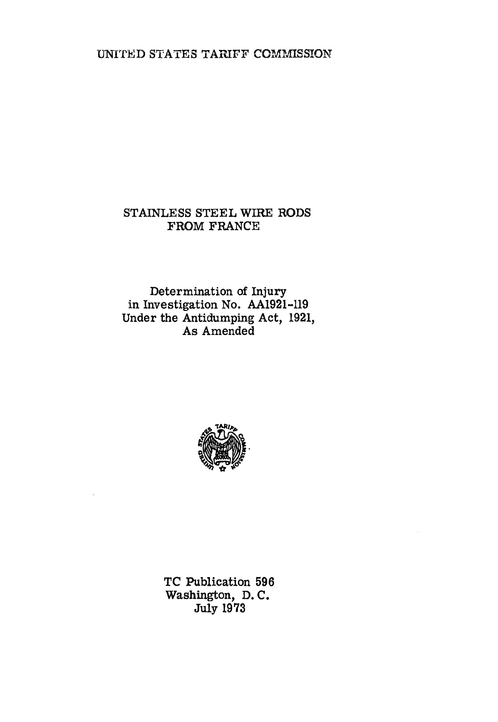UNITED STATES TARIFF COMMISSION

# STAINLESS STEEL WIRE RODS FROM FRANCE

Determination of Injury in Investigation No. AA1921-119 Under the Antidumping Act, 1921, As Amended



TC Publication 596 Washington, D. C. July 1973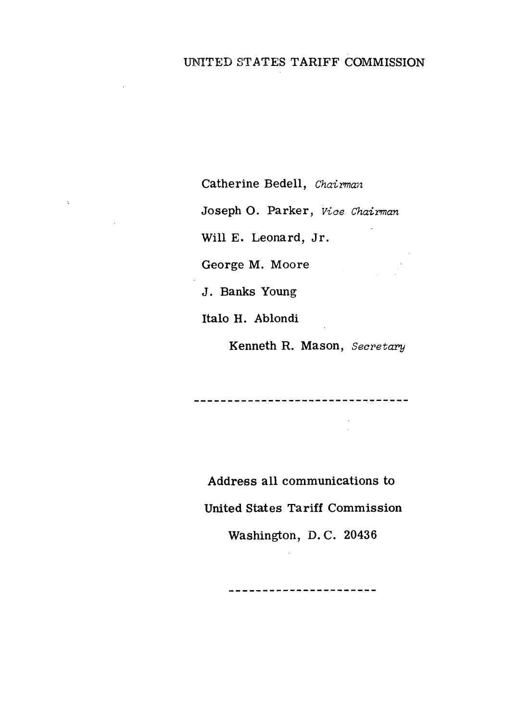# UNITED STATES TARIFF COMMISSION

Catherine Bedell, *Chairman* 

Joseph 0. Parker, *Vioe Chairman* 

Will E. Leonard, Jr.

George M. Moore

 $\mathbb{E}^{\mathbb{P}}$ 

J. Banks Young

Italo H. Ablondi

Kenneth R. Mason, *Secretary* 

Address all communications to United States Tariff Commission

Washington, D. C. 20436

--------------------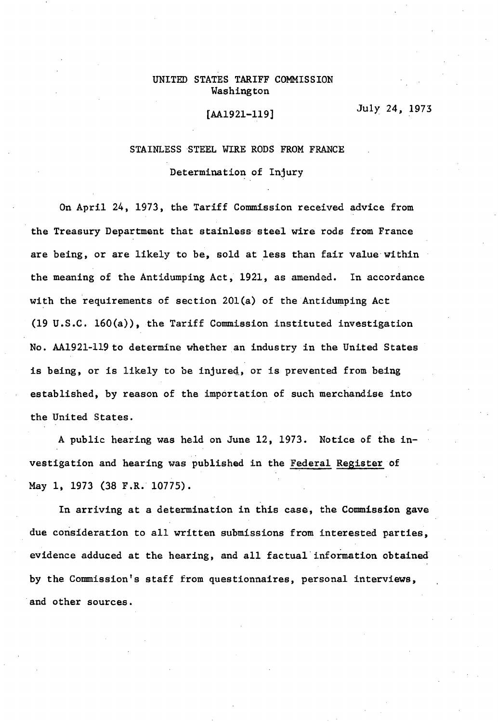# UNITED STATES TARIFF COMMISSION Washington

# [AA1921-119]

July 24, 1973

## STAINLESS STEEL WIRE RODS FROM FRANCE

#### Determination of Injury

On April 24, 1973, the Tariff Commission received advice from the Treasury Department that stainless· steel wire rods from France are being, or are likely to be, sold at less than fair value within the meaning of the Antidumping Act, 1921, as amended. In accordance with the requirements of section 20l(a) of the Antidumping Act  $(19 \text{ U.S.C. } 160(a))$ , the Tariff Commission instituted investigation No. AA1921-119 to determine whether an industry in the United States is being, or is likely to be injured, or is prevented from being established, by reason of the importation of such merchandise into the United States.

A public hearing was held on June 12, 1973. Notice of the investigation and hearing was published in the Federal Register of May 1, 1973 (38 F.R. 10775).

In arriving at a determination in this case, the Commission gave due consideration to all written submissions from interested parties, evidence adduced at the hearing, and all factual information obtained by the Commission's staff from questionnaires, personal interviews, and other sources.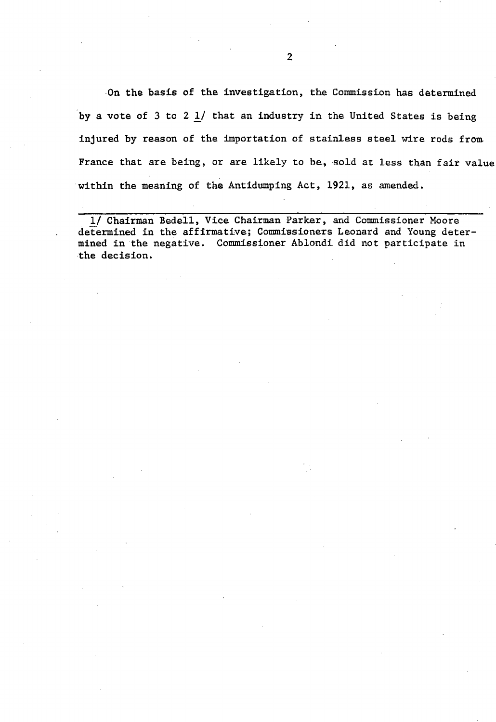·On the basis of the investigation, the Commission has determined by a vote of  $3$  to  $2$   $1/$  that an industry in the United States is being injured by reason of the importation of stainless steel wire rods from. France that are being, or are likely to be, sold at less than fair value within the meaning of the Antidumping Act, 1921, as amended.

1/ Chairman Bedell, Vice Chairman Parker, and Commissioner Moore determined in the affirmative; Commissioners Leonard and Young determined in the negative. Commissioner Ablondi did not participate in the decision.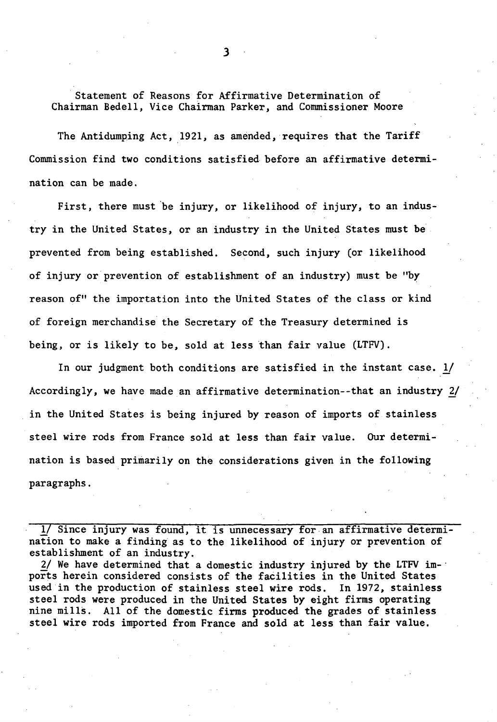Statement of Reasons for Affirmative Determination of Chairman Bedell, Vice Chairman Parker, and Commissioner Moore

The Antidumping Act, 1921, as amended, requires that the Tariff Commission find two conditions satisfied. before an affirmative determination can be made.

First, there must 'be injury, or likelihood of injury, to an industry in the United States, or an industry in the United States must be prevented from being established. Second, such injury (or likelihood of injury or prevention of establishment of an industry) must be "by reason of" the importation into the United States of the class or kind of foreign merchandise the Secretary of the Treasury determined is being, or is likely to be, sold at less than fair value (LTFV).

In our judgment both conditions are satisfied in the instant case. *Y*  Accordingly, we have made an affirmative determination--that an industry 2/ in the United States is being injured by reason of imports of stainless steel wire rods from France sold at less than fair value. Our determination is based primarily on the considerations given in the following paragraphs.

1/ Since injury was found, it is unnecessary for.an affirmative determination to make a finding as to the likelihood of injury or prevention of establishment of an industry.

 $2/$  We have determined that a domestic industry injured by the LTFV im- $\cdot$ ports herein considered consists of the facilities in the United States used in the production of stainless steel wire rods. In 1972, stainless steel rods were produced in the United States by eight firms operating nine mills. All of the domestic firms produced the grades of stainless steel wire rods imported from France and sold at less than fair value.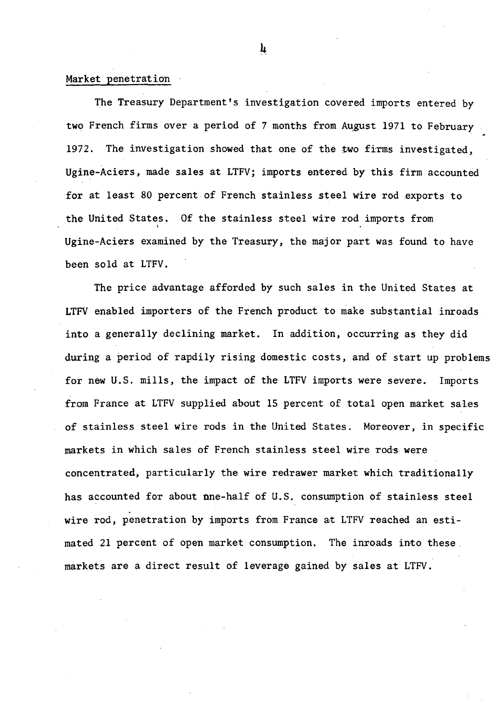# Market penetration

The Treasury Department's investigation covered imports entered by two French firms over a period of 7 months from August 1971 to February 1972. The investigation showed that one of the two firms investigated, Ugine-Aciers, made sales at LTFV; imports entered by this firm accounted for at least 80 percent of French stainless steel wire rod exports to the United States. Of the stainless steel wire rod imports from \ Ugine-Aciers examined by the Treasury, the major part was found to have been sold at LTFV.

The price advantage afforded by such sales in the United States at LTFV enabled importers of the French product to make substantial inroads into a generally declining market. In addition, occurring as they did during a period of rapdily rising domestic costs, and of start up problems for new U.S. mills, the impact of the LTFV imports were severe. Imports from France at LTFV supplied about 15 percent of total open market sales of stainless steel wire rods in the United States. Moreover, in specific markets in which sales of French stainless steel wire rods were concentrated, particularly the wire redrawer market which traditionally has accounted for about nne-half of U.S. consumption of stainless steel wire rod, penetration by imports from France at LTFV reached an estimated 21 percent of open market consumption. The inroads into these. markets are a direct result of leverage gained by sales at LTFV.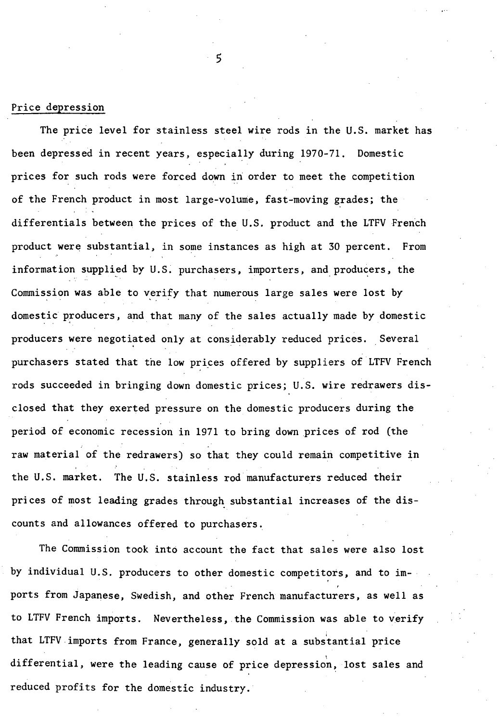## Price depression

The price level for stainless steel wire rods in the U.S. market has been depressed in recent years, especially during 1970-71. Domestic prices for such rods were forced down in order to meet the competition of the French product in most large-volume, fast-moving grades; the differentials between the prices of the U.S. product and the LTFV French product were substantial, in some instances as high at 30 percent. From information supplied by U.S. purchasers, importers, and producers, the Commission was able to verify that numerous large sales were lost by domestic producers, and that many of the sales actually made by domestic producers were negotiated only at considerably reduced prices. Several purchasers stated that the low prices offered by suppliers of LTFV French rods succeeded in bringing down domestic prices; U.S. wire redrawers disclosed that they exerted pressure on the domestic producers during the period of economic recession in 1971 to bring down prices of rod (the raw material of the redrawers) so that they could remain competitive in the U.S. market. The U.S. stainless rod manufacturers reduced their prices of most leading grades through substantial increases of the discounts and allowances offered to purchasers.

The Commission took into account the fact that sales were also lost by individual U.S. producers to other domestic competitors, and to imports from Japanese, Swedish, and other French manufacturers, as well as to LTFV French imports. Nevertheless, the Commission was able to verify that LTFV imports from France, generally sold at a substantial price differential, were the leading cause of price depression, lost sales and reduced profits for the domestic industry.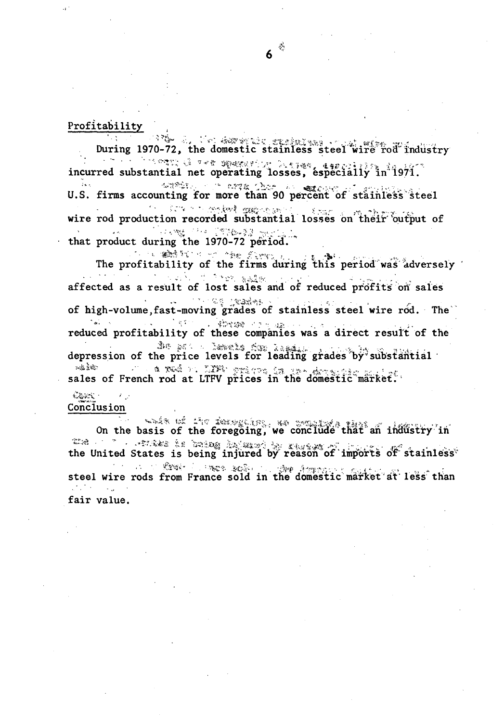# Profitability

During 1970-72, the domestic stainless steel wire rod industry incurred substantial net operating losses, especially in 1971.

U.S. firms accounting for more than 90 percent of stainless steel Company Service Service Service Service Service Service Service Service Service wire rod production recorded substantial losses on their output of **一个小路**。 不知道 医有效能量 医皮肤

that product during the 1970-72 period.

The profitability of the firms during this period was adversely affected as a result of lost sales and of reduced profits on sales 4. 不可以需要的加强增长。 of high-volume, fast-moving grades of stainless steel wire rod. The  $\mathcal{L}(\mathbf{g},\mathbf{g},\mathbf{g})$  . reduced profitability of these companies was a direct result of the depression of the price levels for leading grades by substantial sales of French rod at LTFV prices in the domestic market.

 $\sum_{i=1}^N \sum_{j=1}^N \sum_{j=1}^N \sum_{j=1}^N \sum_{j=1}^N \sum_{j=1}^N \sum_{j=1}^N \sum_{j=1}^N \sum_{j=1}^N \sum_{j=1}^N \sum_{j=1}^N \sum_{j=1}^N \sum_{j=1}^N \sum_{j=1}^N \sum_{j=1}^N \sum_{j=1}^N \sum_{j=1}^N \sum_{j=1}^N \sum_{j=1}^N \sum_{j=1}^N \sum_{j=1}^N \sum_{j=1}^N \sum_{j=1}^N \sum_{j=1}^N \sum_{j$ Conclusion

On the basis of the foregoing, we conclude that an industry in the United States is being injured by reason of imports of stainless<sup>\*</sup> steel wire rods from France sold in the domestic market at less than fair value.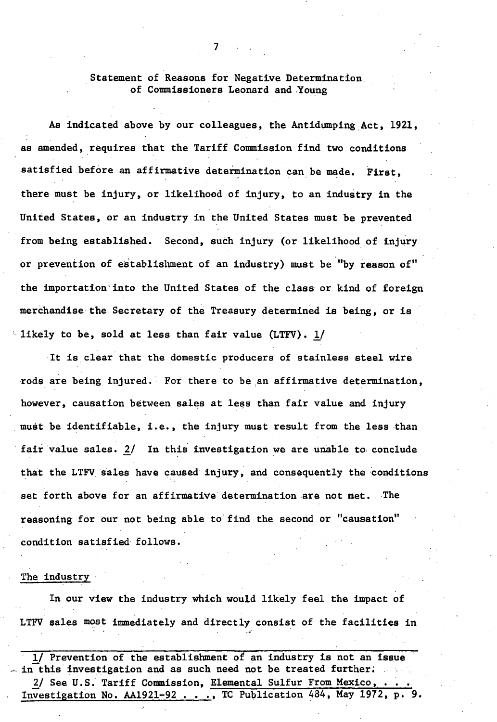# Statement of Reasons for Negative Determination of Commissioners Leonard and Young

As indicated above by our colleagues, the Antidumping\_Act, 1921, as amended, requires that the Tariff Commission find two conditions satisfied before an affirmative determination can be made. First, there must be injury, or likelihood of injury, to an industry in the United States, or an industry in the United States must be prevented from being established. Second, such injury (or likelihood of injury or prevention of establishment of an industry) must be "by reason of" ·the importation'into the United States of the class or kind of foreign merchandise the Secretary of the Treasury determined is being, or is likely to be, sold at less than fair value  $(LTFV)$ . 1/

It is clear that the domestic producers of stainless steel wire rods are being injured. For there to be an affirmative determination, however, causation between sales at less than fair value and injury must be identifiable, i.e., the injury must result from the less than fair value sales.  $2/$  In this investigation we are unable to conclude that the LTFV sales have caused injury, and consequently the conditions set forth above for an affirmative determination are not met. The reasoning for our not being able to find the second or "causation" condition satisfied follows.

#### The industry

In our view the industry which would likely feel the impact of LTFV sales most immediately and directly consist of the facilities in

.. ;.;

· 1/ Prevention of the establishment of an industry is not an issue in this investigation and as such need not be treated further. 2/ See U.S. Tariff Commission, Elemental Sulfur From Mexico, • Investigation No. AA1921-92  $\ldots$ , TC Publication 484, May 1972, p. 9.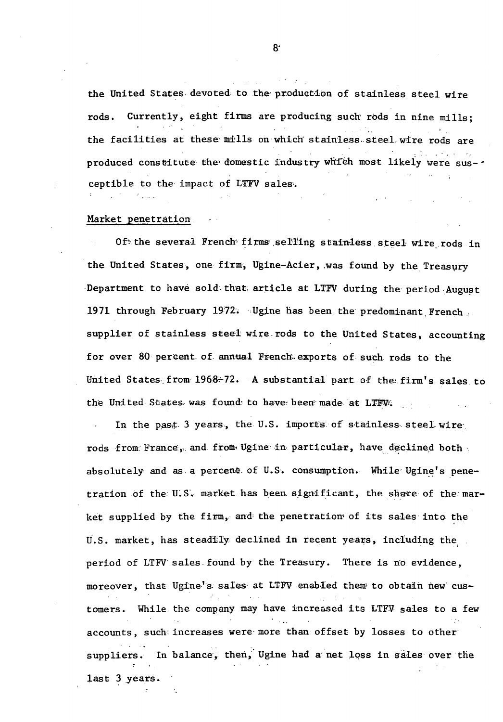the United States devoted to the production of stainless steel wire Currently, eight firms are producing such rods in nine mills: rods. the facilities at these mills on which stainless steel wire rods are produced constitute the domestic industry which most likely were ceptible to the impact of LTFV sales.

#### Market penetration.

Of the several French firms selling stainless steel wire rods in the United States, one firm, Ugine-Acier, was found by the Treasury Department to have sold that article at LTFV during the period August 1971 through February 1972. Ugine has been the predominant French supplier of stainless steel wire rods to the United States, accounting for over 80 percent of annual French exports of such rods to the United States from 1968-72. A substantial part of the firm's sales to the United States was found to have been made at LTFW.

In the past 3 years, the U.S. imports of stainless steel wire rods from France, and from Ugine in particular, have declined both absolutely and as a percent of U.S. consumption. While Ugine's penetration of the U.S. market has been significant, the share of the market supplied by the firm, and the penetration of its sales into the U.S. market, has steadily declined in recent years, including the period of LTFV sales found by the Treasury. There is no evidence, moreover, that Ugine's sales at LTFV enabled them to obtain new customers. While the company may have increased its LTFV sales to a few accounts, such increases were more than offset by losses to other suppliers. In balance, then, Ugine had a net loss in sales over the last 3 years.

 $\mathbf{8}^{\circ}$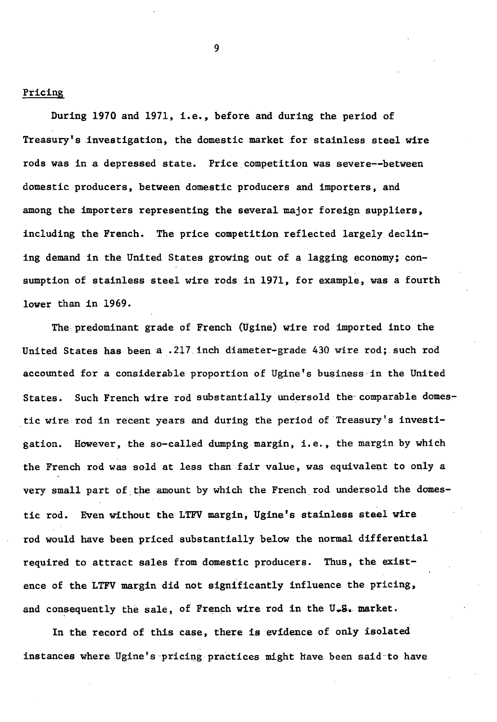Pricing

During 1970 and 1971, i.e., before and during the period of Treasury's .investigation, the domestic market for stainless steel wire rods was in a depressed state. Price competition was severe--between domestic producers, between domestic producers and importers, and among the importers representing the several major foreign suppliers, including the French. The price competition reflected largely declining demand in the United States growing out of a lagging economy; consumption of stainless steel wire rods in 1971, for example, was a fourth lower than in 1969.

The predominant grade of French (Ugine) wire rod imported into the United States has been a .217.inch diameter-grade 430 wire rod; such rod accounted for a considerable proportion of Ugine's business-in the United States. Such French wire rod substantially undersold the-comparable domestic wire rod in recent years and during the period of Treasury's investigation. However, the so-called dumping margin, i.e., the margin by which the French rod was sold at less than fair value, was equivalent to only a very small part of the amount by which the French rod undersold the domestic rod. Even without the LTFV margin, Ugine's stainless steel wire rod would have been priced substantially below the normal differential required to attract sales from domestic producers. Thus, the existence of the LTFV margin did not significantly influence the pricing, and consequently the sale, of French wire rod in the  $U - S$ . market.

In the record of this case, there is evidence of only isolated instances where Ugine's pricing practices might have been said to have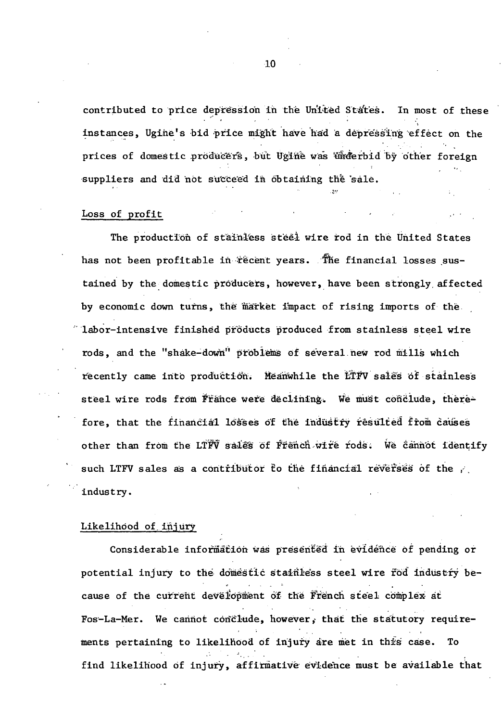contributed to price depression in the United States. In most of these instances, Ugine's bid price might have had a depressing effect on the prices of domestic producers, but Ugine was underbid by other foreign suppliers and did not succeed in obtaining the sale.

### Loss of profit

The production of stainless steel wire rod in the United States has not been profitable in recent years. The financial losses sustained by the domestic producers, however, have been strongly affected by economic down turns, the market impact of rising imports of the "labor-intensive finished products produced from stainless steel wire rods, and the "shake-down" problems of several new rod mills which recently came into production. Meanwhile the LTFV sales of stainless steel wire rods from France were declining. We must conclude, therefore, that the financial losses of the industry resulted from causes other than from the LTFV sales of French wire rods. We cannot identify such LTFV sales as a contributor to the financial reverses of the industry.

#### Likelihood of injury

Considerable information was presented in evidence of pending or potential injury to the domestic stainless steel wire fod industry because of the current development of the French steel complex at Fos-La-Mer. We cannot conclude, however, that the statutory requirements pertaining to likelihood of injury are met in this case. To find likelihood of injury, affirmative evidence must be available that